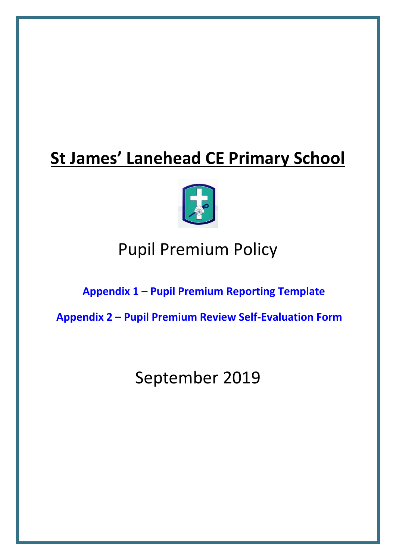# **St James' Lanehead CE Primary School**



## Pupil Premium Policy

### **Appendix 1 – [Pupil Premium Reporting Template](#page-11-0)**

**Appendix 2 – [Pupil Premium Review Self-Evaluation Form](#page-13-0)**

## September 2019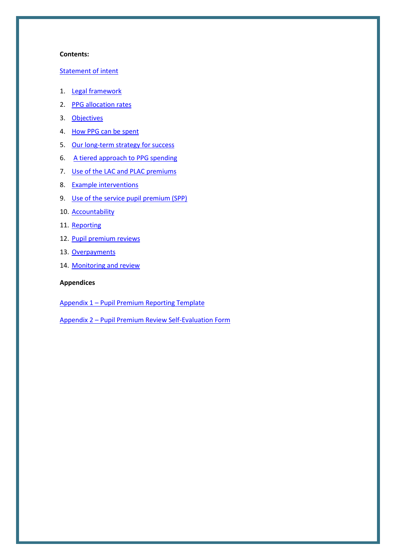#### **Contents:**

#### [Statement of intent](#page-2-0)

- 1. [Legal framework](#page-3-0)
- 2. [PPG allocation rates](#page-3-1)
- 3. [Objectives](#page-3-2)
- 4. [How PPG can be spent](#page-4-0)
- 5. [Our long-term strategy for success](#page-4-1)
- 6. [A tiered approach to PPG spending](#page-6-0)
- 7. [Use of the LAC and PLAC premiums](#page-6-1)
- 8. [Example interventions](#page-7-0)
- 9. [Use of the service pupil premium \(SPP\)](#page-8-0)
- 10. [Accountability](#page-9-0)
- 11. [Reporting](#page-9-1)
- 12. [Pupil premium reviews](#page-9-2)
- 13. [Overpayments](#page-10-0)
- 14. [Monitoring and review](#page-10-1)

#### **Appendices**

Appendix 1 – [Pupil Premium Reporting Template](#page-11-0)

Appendix 2 – [Pupil Premium Review Self-Evaluation Form](#page-13-0)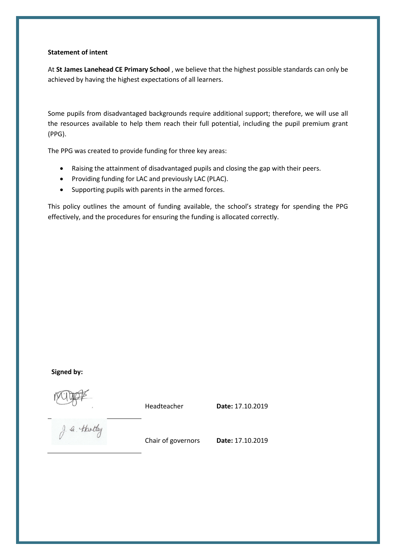#### <span id="page-2-0"></span>**Statement of intent**

At **St James Lanehead CE Primary School** , we believe that the highest possible standards can only be achieved by having the highest expectations of all learners.

Some pupils from disadvantaged backgrounds require additional support; therefore, we will use all the resources available to help them reach their full potential, including the pupil premium grant (PPG).

The PPG was created to provide funding for three key areas:

- Raising the attainment of disadvantaged pupils and closing the gap with their peers.
- Providing funding for LAC and previously LAC (PLAC).
- Supporting pupils with parents in the armed forces.

This policy outlines the amount of funding available, the school's strategy for spending the PPG effectively, and the procedures for ensuring the funding is allocated correctly.

#### **Signed by:**

Headteacher **Date:** 17.10.2019

g. a. thatly

Chair of governors **Date:** 17.10.2019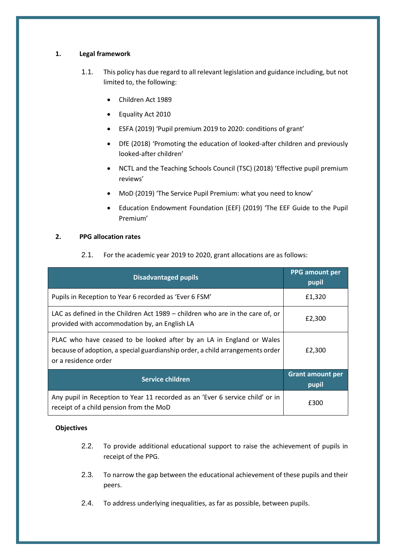#### <span id="page-3-0"></span>**1. Legal framework**

- 1.1. This policy has due regard to all relevant legislation and guidance including, but not limited to, the following:
	- Children Act 1989
	- Equality Act 2010
	- ESFA (2019) 'Pupil premium 2019 to 2020: conditions of grant'
	- DfE (2018) 'Promoting the education of looked-after children and previously looked-after children'
	- NCTL and the Teaching Schools Council (TSC) (2018) 'Effective pupil premium reviews'
	- MoD (2019) 'The Service Pupil Premium: what you need to know'
	- Education Endowment Foundation (EEF) (2019) 'The EEF Guide to the Pupil Premium'

#### <span id="page-3-1"></span>**2. PPG allocation rates**

2.1. For the academic year 2019 to 2020, grant allocations are as follows:

| <b>Disadvantaged pupils</b>                                                                                                                                                   | <b>PPG</b> amount per<br>pupil   |
|-------------------------------------------------------------------------------------------------------------------------------------------------------------------------------|----------------------------------|
| Pupils in Reception to Year 6 recorded as 'Ever 6 FSM'                                                                                                                        | £1,320                           |
| LAC as defined in the Children Act 1989 – children who are in the care of, or<br>provided with accommodation by, an English LA                                                | £2,300                           |
| PLAC who have ceased to be looked after by an LA in England or Wales<br>because of adoption, a special guardianship order, a child arrangements order<br>or a residence order | £2,300                           |
| Service children                                                                                                                                                              | <b>Grant amount per</b><br>pupil |
| Any pupil in Reception to Year 11 recorded as an 'Ever 6 service child' or in<br>receipt of a child pension from the MoD                                                      | £300                             |

#### <span id="page-3-2"></span>**Objectives**

- 2.2. To provide additional educational support to raise the achievement of pupils in receipt of the PPG.
- 2.3. To narrow the gap between the educational achievement of these pupils and their peers.
- 2.4. To address underlying inequalities, as far as possible, between pupils.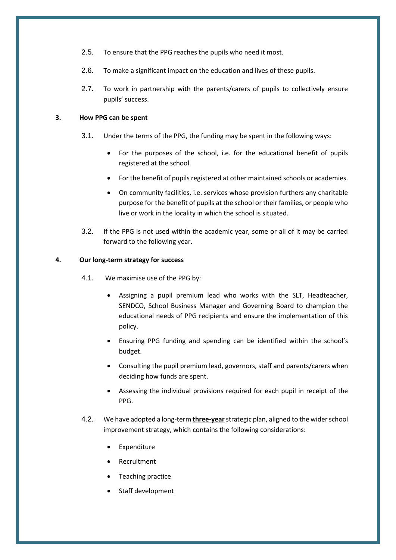- 2.5. To ensure that the PPG reaches the pupils who need it most.
- 2.6. To make a significant impact on the education and lives of these pupils.
- 2.7. To work in partnership with the parents/carers of pupils to collectively ensure pupils' success.

#### <span id="page-4-0"></span>**3. How PPG can be spent**

- 3.1. Under the terms of the PPG, the funding may be spent in the following ways:
	- For the purposes of the school, i.e. for the educational benefit of pupils registered at the school.
	- For the benefit of pupils registered at other maintained schools or academies.
	- On community facilities, i.e. services whose provision furthers any charitable purpose for the benefit of pupils at the school or their families, or people who live or work in the locality in which the school is situated.
- 3.2. If the PPG is not used within the academic year, some or all of it may be carried forward to the following year.

#### <span id="page-4-1"></span>**4. Our long-term strategy for success**

- 4.1. We maximise use of the PPG by:
	- Assigning a pupil premium lead who works with the SLT, Headteacher, SENDCO, School Business Manager and Governing Board to champion the educational needs of PPG recipients and ensure the implementation of this policy.
	- Ensuring PPG funding and spending can be identified within the school's budget.
	- Consulting the pupil premium lead, governors, staff and parents/carers when deciding how funds are spent.
	- Assessing the individual provisions required for each pupil in receipt of the PPG.
- 4.2. We have adopted a long-term **three-year**strategic plan, aligned to the wider school improvement strategy, which contains the following considerations:
	- **Expenditure**
	- **Recruitment**
	- Teaching practice
	- Staff development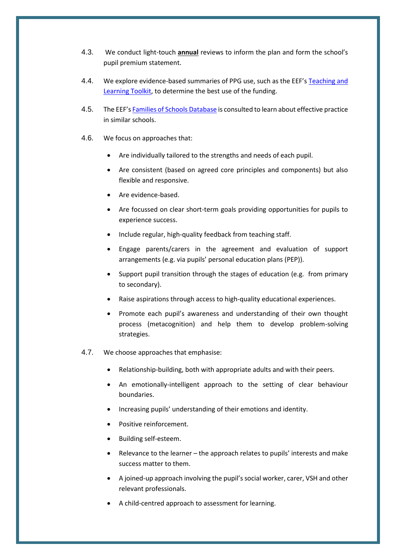- 4.3. We conduct light-touch **annual** reviews to inform the plan and form the school's pupil premium statement.
- 4.4. We explore evidence-based summaries of PPG use, such as the EEF's [Teaching and](https://educationendowmentfoundation.org.uk/evidence-summaries/teaching-learning-toolkit)  [Learning Toolkit,](https://educationendowmentfoundation.org.uk/evidence-summaries/teaching-learning-toolkit) to determine the best use of the funding.
- 4.5. The EEF's [Families of Schools Database](https://educationendowmentfoundation.org.uk/tools/families-of-schools-database) is consulted to learn about effective practice in similar schools.
- 4.6. We focus on approaches that:
	- Are individually tailored to the strengths and needs of each pupil.
	- Are consistent (based on agreed core principles and components) but also flexible and responsive.
	- Are evidence-based.
	- Are focussed on clear short-term goals providing opportunities for pupils to experience success.
	- Include regular, high-quality feedback from teaching staff.
	- Engage parents/carers in the agreement and evaluation of support arrangements (e.g. via pupils' personal education plans (PEP)).
	- Support pupil transition through the stages of education (e.g. from primary to secondary).
	- Raise aspirations through access to high-quality educational experiences.
	- Promote each pupil's awareness and understanding of their own thought process (metacognition) and help them to develop problem-solving strategies.
- 4.7. We choose approaches that emphasise:
	- Relationship-building, both with appropriate adults and with their peers.
	- An emotionally-intelligent approach to the setting of clear behaviour boundaries.
	- Increasing pupils' understanding of their emotions and identity.
	- Positive reinforcement.
	- Building self-esteem.
	- Relevance to the learner the approach relates to pupils' interests and make success matter to them.
	- A joined-up approach involving the pupil's social worker, carer, VSH and other relevant professionals.
	- A child-centred approach to assessment for learning.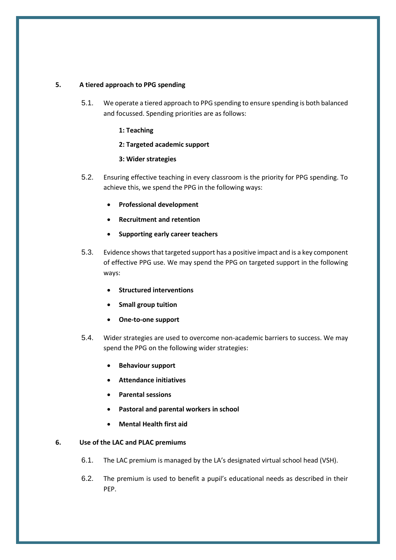#### <span id="page-6-0"></span>**5. A tiered approach to PPG spending**

- 5.1. We operate a tiered approach to PPG spending to ensure spending is both balanced and focussed. Spending priorities are as follows:
	- **1: Teaching**
	- **2: Targeted academic support**
	- **3: Wider strategies**
- 5.2. Ensuring effective teaching in every classroom is the priority for PPG spending. To achieve this, we spend the PPG in the following ways:
	- **Professional development**
	- **Recruitment and retention**
	- **Supporting early career teachers**
- 5.3. Evidence shows that targeted support has a positive impact and is a key component of effective PPG use. We may spend the PPG on targeted support in the following ways:
	- **Structured interventions**
	- **Small group tuition**
	- **One-to-one support**
- 5.4. Wider strategies are used to overcome non-academic barriers to success. We may spend the PPG on the following wider strategies:
	- **Behaviour support**
	- **Attendance initiatives**
	- **Parental sessions**
	- **Pastoral and parental workers in school**
	- **Mental Health first aid**

#### <span id="page-6-1"></span>**6. Use of the LAC and PLAC premiums**

- 6.1. The LAC premium is managed by the LA's designated virtual school head (VSH).
- 6.2. The premium is used to benefit a pupil's educational needs as described in their PEP.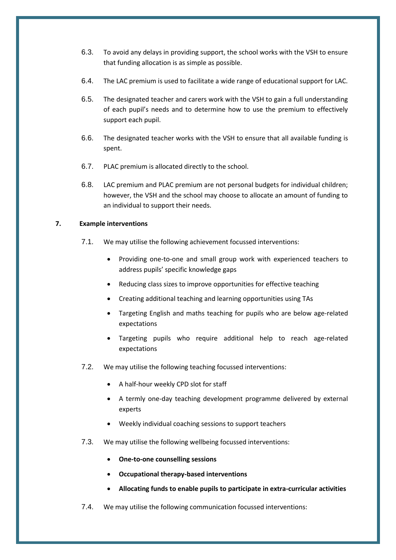- 6.3. To avoid any delays in providing support, the school works with the VSH to ensure that funding allocation is as simple as possible.
- 6.4. The LAC premium is used to facilitate a wide range of educational support for LAC.
- 6.5. The designated teacher and carers work with the VSH to gain a full understanding of each pupil's needs and to determine how to use the premium to effectively support each pupil.
- 6.6. The designated teacher works with the VSH to ensure that all available funding is spent.
- 6.7. PLAC premium is allocated directly to the school.
- 6.8. LAC premium and PLAC premium are not personal budgets for individual children; however, the VSH and the school may choose to allocate an amount of funding to an individual to support their needs.

#### <span id="page-7-0"></span>**7. Example interventions**

- 7.1. We may utilise the following achievement focussed interventions:
	- Providing one-to-one and small group work with experienced teachers to address pupils' specific knowledge gaps
	- Reducing class sizes to improve opportunities for effective teaching
	- Creating additional teaching and learning opportunities using TAs
	- Targeting English and maths teaching for pupils who are below age-related expectations
	- Targeting pupils who require additional help to reach age-related expectations
- 7.2. We may utilise the following teaching focussed interventions:
	- A half-hour weekly CPD slot for staff
	- A termly one-day teaching development programme delivered by external experts
	- Weekly individual coaching sessions to support teachers
- 7.3. We may utilise the following wellbeing focussed interventions:
	- **One-to-one counselling sessions**
	- **Occupational therapy-based interventions**
	- **Allocating funds to enable pupils to participate in extra-curricular activities**
- 7.4. We may utilise the following communication focussed interventions: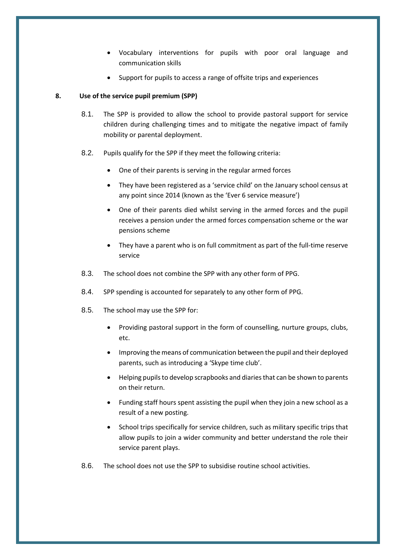- Vocabulary interventions for pupils with poor oral language and communication skills
- Support for pupils to access a range of offsite trips and experiences

#### <span id="page-8-0"></span>**8. Use of the service pupil premium (SPP)**

- 8.1. The SPP is provided to allow the school to provide pastoral support for service children during challenging times and to mitigate the negative impact of family mobility or parental deployment.
- 8.2. Pupils qualify for the SPP if they meet the following criteria:
	- One of their parents is serving in the regular armed forces
	- They have been registered as a 'service child' on the January school census at any point since 2014 (known as the 'Ever 6 service measure')
	- One of their parents died whilst serving in the armed forces and the pupil receives a pension under the armed forces compensation scheme or the war pensions scheme
	- They have a parent who is on full commitment as part of the full-time reserve service
- 8.3. The school does not combine the SPP with any other form of PPG.
- 8.4. SPP spending is accounted for separately to any other form of PPG.
- 8.5. The school may use the SPP for:
	- Providing pastoral support in the form of counselling, nurture groups, clubs, etc.
	- Improving the means of communication between the pupil and their deployed parents, such as introducing a 'Skype time club'.
	- Helping pupils to develop scrapbooks and diaries that can be shown to parents on their return.
	- Funding staff hours spent assisting the pupil when they join a new school as a result of a new posting.
	- School trips specifically for service children, such as military specific trips that allow pupils to join a wider community and better understand the role their service parent plays.
- 8.6. The school does not use the SPP to subsidise routine school activities.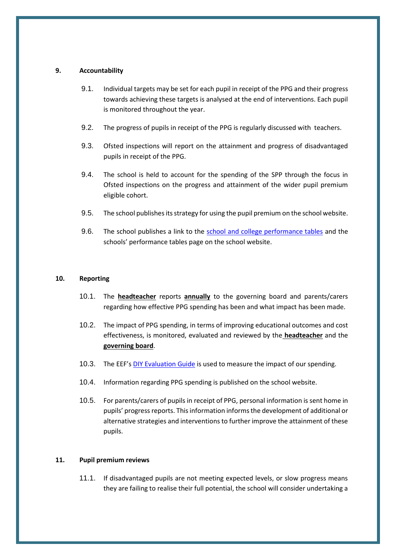#### <span id="page-9-0"></span>**9. Accountability**

- 9.1. Individual targets may be set for each pupil in receipt of the PPG and their progress towards achieving these targets is analysed at the end of interventions. Each pupil is monitored throughout the year.
- 9.2. The progress of pupils in receipt of the PPG is regularly discussed with teachers.
- 9.3. Ofsted inspections will report on the attainment and progress of disadvantaged pupils in receipt of the PPG.
- 9.4. The school is held to account for the spending of the SPP through the focus in Ofsted inspections on the progress and attainment of the wider pupil premium eligible cohort.
- 9.5. The school publishes its strategy for using the pupil premium on the school website.
- 9.6. The school publishes a link to the [school and college performance tables](https://www.compare-school-performance.service.gov.uk/) and the schools' performance tables page on the school website.

#### <span id="page-9-1"></span>**10. Reporting**

- 10.1. The **headteacher** reports **annually** to the governing board and parents/carers regarding how effective PPG spending has been and what impact has been made.
- 10.2. The impact of PPG spending, in terms of improving educational outcomes and cost effectiveness, is monitored, evaluated and reviewed by the **headteacher** and the **governing board**.
- 10.3. The EEF's [DIY Evaluation](https://educationendowmentfoundation.org.uk/tools/diy-guide/getting-started/) Guide is used to measure the impact of our spending.
- 10.4. Information regarding PPG spending is published on the school website.
- 10.5. For parents/carers of pupils in receipt of PPG, personal information is sent home in pupils' progress reports. This information informs the development of additional or alternative strategies and interventions to further improve the attainment of these pupils.

#### <span id="page-9-2"></span>**11. Pupil premium reviews**

11.1. If disadvantaged pupils are not meeting expected levels, or slow progress means they are failing to realise their full potential, the school will consider undertaking a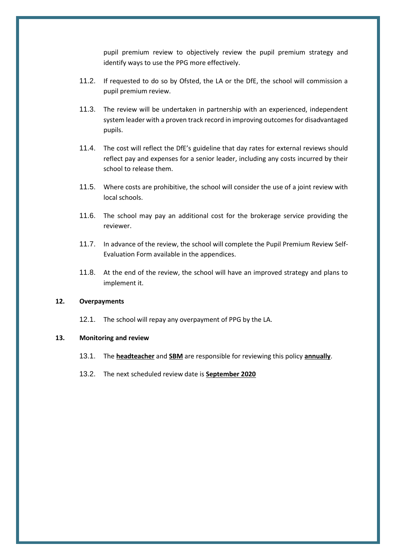pupil premium review to objectively review the pupil premium strategy and identify ways to use the PPG more effectively.

- 11.2. If requested to do so by Ofsted, the LA or the DfE, the school will commission a pupil premium review.
- 11.3. The review will be undertaken in partnership with an experienced, independent system leader with a proven track record in improving outcomes for disadvantaged pupils.
- 11.4. The cost will reflect the DfE's guideline that day rates for external reviews should reflect pay and expenses for a senior leader, including any costs incurred by their school to release them.
- 11.5. Where costs are prohibitive, the school will consider the use of a joint review with local schools.
- 11.6. The school may pay an additional cost for the brokerage service providing the reviewer.
- 11.7. In advance of the review, the school will complete the Pupil Premium Review Self-Evaluation Form available in the appendices.
- 11.8. At the end of the review, the school will have an improved strategy and plans to implement it.

#### <span id="page-10-0"></span>**12. Overpayments**

12.1. The school will repay any overpayment of PPG by the LA.

#### <span id="page-10-1"></span>**13. Monitoring and review**

- 13.1. The **headteacher** and **SBM** are responsible for reviewing this policy **annually**.
- 13.2. The next scheduled review date is **September 2020**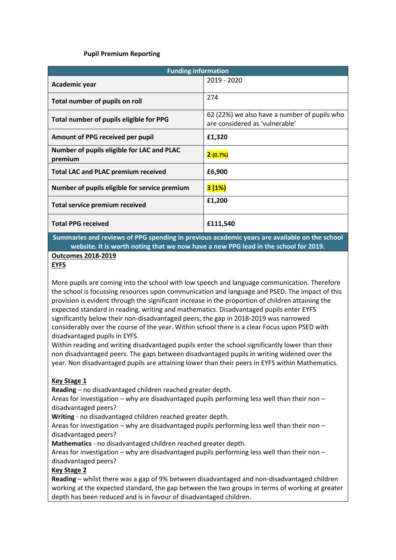#### **Pupil Premium Reporting**

<span id="page-11-0"></span>

| <b>Funding information</b>                            |                                                                                |  |  |
|-------------------------------------------------------|--------------------------------------------------------------------------------|--|--|
| Academic year                                         | 2019 - 2020                                                                    |  |  |
| Total number of pupils on roll                        | 274                                                                            |  |  |
| Total number of pupils eligible for PPG               | 62 (22%) we also have a number of pupils who<br>are considered as 'vulnerable' |  |  |
| Amount of PPG received per pupil                      | £1,320                                                                         |  |  |
| Number of pupils eligible for LAC and PLAC<br>premium | 2(0.7%)                                                                        |  |  |
| <b>Total LAC and PLAC premium received</b>            | £6,900                                                                         |  |  |
| Number of pupils eligible for service premium         | 3(1%)                                                                          |  |  |
| <b>Total service premium received</b>                 | £1,200                                                                         |  |  |
| <b>Total PPG received</b>                             | £111,540                                                                       |  |  |

**Summaries and reviews of PPG spending in previous academic years are available on the school website. It is worth noting that we now have a new PPG lead in the school for 2019.** 

**Outcomes 2018-2019**

#### **EYFS**

More pupils are coming into the school with low speech and language communication. Therefore the school is focussing resources upon communication and language and PSED. The impact of this provision is evident through the significant increase in the proportion of children attaining the expected standard in reading, writing and mathematics. Disadvantaged pupils enter EYFS significantly below their non-disadvantaged peers, the gap in 2018-2019 was narrowed considerably over the course of the year. Within school there is a clear Focus upon PSED with disadvantaged pupils in EYFS.

Within reading and writing disadvantaged pupils enter the school significantly lower than their non disadvantaged peers. The gaps between disadvantaged pupils in writing widened over the year. Non disadvantaged pupils are attaining lower than their peers in EYFS within Mathematics.

#### **Key Stage 1**

**Reading** – no disadvantaged children reached greater depth.

Areas for investigation – why are disadvantaged pupils performing less well than their non – disadvantaged peers?

**Writing** - no disadvantaged children reached greater depth.

Areas for investigation – why are disadvantaged pupils performing less well than their non – disadvantaged peers?

**Mathematics** - no disadvantaged children reached greater depth.

Areas for investigation – why are disadvantaged pupils performing less well than their non – disadvantaged peers?

#### **Key Stage 2**

**Reading** – whilst there was a gap of 9% between disadvantaged and non-disadvantaged children working at the expected standard, the gap between the two groups in terms of working at greater depth has been reduced and is in favour of disadvantaged children.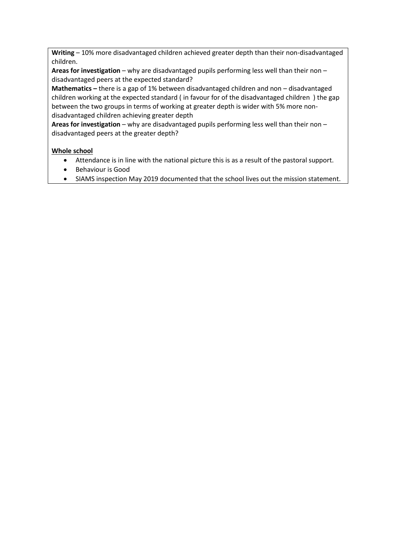**Writing** – 10% more disadvantaged children achieved greater depth than their non-disadvantaged children.

**Areas for investigation** – why are disadvantaged pupils performing less well than their non – disadvantaged peers at the expected standard?

**Mathematics –** there is a gap of 1% between disadvantaged children and non – disadvantaged children working at the expected standard ( in favour for of the disadvantaged children ) the gap between the two groups in terms of working at greater depth is wider with 5% more nondisadvantaged children achieving greater depth

**Areas for investigation** – why are disadvantaged pupils performing less well than their non – disadvantaged peers at the greater depth?

#### **Whole school**

- Attendance is in line with the national picture this is as a result of the pastoral support.
- Behaviour is Good
- SIAMS inspection May 2019 documented that the school lives out the mission statement.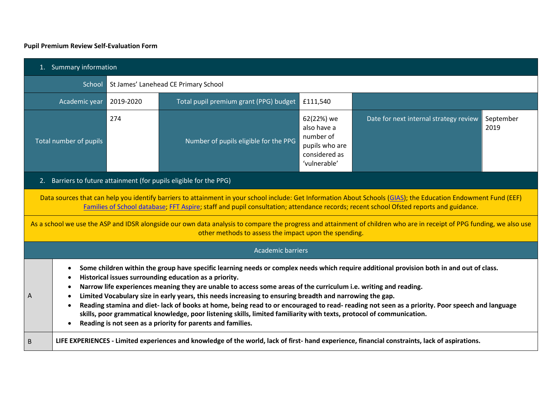#### **Pupil Premium Review Self-Evaluation Form**

<span id="page-13-0"></span>

| 1. Summary information                                                                                                                                                                                                                                                                                                                                                                                                                                                                                                                                                                                                                                                                                                                                                            |                                                                                                                                                |                                                                                           |                                                                    |                   |  |  |
|-----------------------------------------------------------------------------------------------------------------------------------------------------------------------------------------------------------------------------------------------------------------------------------------------------------------------------------------------------------------------------------------------------------------------------------------------------------------------------------------------------------------------------------------------------------------------------------------------------------------------------------------------------------------------------------------------------------------------------------------------------------------------------------|------------------------------------------------------------------------------------------------------------------------------------------------|-------------------------------------------------------------------------------------------|--------------------------------------------------------------------|-------------------|--|--|
|                                                                                                                                                                                                                                                                                                                                                                                                                                                                                                                                                                                                                                                                                                                                                                                   | School<br>St James' Lanehead CE Primary School                                                                                                 |                                                                                           |                                                                    |                   |  |  |
| Total pupil premium grant (PPG) budget<br>£111,540<br>Academic year<br>2019-2020                                                                                                                                                                                                                                                                                                                                                                                                                                                                                                                                                                                                                                                                                                  |                                                                                                                                                |                                                                                           |                                                                    |                   |  |  |
| 274<br>Number of pupils eligible for the PPG<br><b>Total number of pupils</b>                                                                                                                                                                                                                                                                                                                                                                                                                                                                                                                                                                                                                                                                                                     |                                                                                                                                                | 62(22%) we<br>also have a<br>number of<br>pupils who are<br>considered as<br>'vulnerable' | Date for next internal strategy review                             | September<br>2019 |  |  |
|                                                                                                                                                                                                                                                                                                                                                                                                                                                                                                                                                                                                                                                                                                                                                                                   |                                                                                                                                                |                                                                                           | 2. Barriers to future attainment (for pupils eligible for the PPG) |                   |  |  |
| Data sources that can help you identify barriers to attainment in your school include: Get Information About Schools (GIAS); the Education Endowment Fund (EEF)<br>Families of School database; FFT Aspire; staff and pupil consultation; attendance records; recent school Ofsted reports and guidance.<br>As a school we use the ASP and IDSR alongside our own data analysis to compare the progress and attainment of children who are in receipt of PPG funding, we also use                                                                                                                                                                                                                                                                                                 |                                                                                                                                                |                                                                                           |                                                                    |                   |  |  |
|                                                                                                                                                                                                                                                                                                                                                                                                                                                                                                                                                                                                                                                                                                                                                                                   |                                                                                                                                                |                                                                                           | other methods to assess the impact upon the spending.              |                   |  |  |
|                                                                                                                                                                                                                                                                                                                                                                                                                                                                                                                                                                                                                                                                                                                                                                                   |                                                                                                                                                |                                                                                           | <b>Academic barriers</b>                                           |                   |  |  |
| Some children within the group have specific learning needs or complex needs which require additional provision both in and out of class.<br>Historical issues surrounding education as a priority.<br>Narrow life experiences meaning they are unable to access some areas of the curriculum i.e. writing and reading.<br>Limited Vocabulary size in early years, this needs increasing to ensuring breadth and narrowing the gap.<br>А<br>Reading stamina and diet-lack of books at home, being read to or encouraged to read- reading not seen as a priority. Poor speech and language<br>skills, poor grammatical knowledge, poor listening skills, limited familiarity with texts, protocol of communication.<br>Reading is not seen as a priority for parents and families. |                                                                                                                                                |                                                                                           |                                                                    |                   |  |  |
| B                                                                                                                                                                                                                                                                                                                                                                                                                                                                                                                                                                                                                                                                                                                                                                                 | LIFE EXPERIENCES - Limited experiences and knowledge of the world, lack of first- hand experience, financial constraints, lack of aspirations. |                                                                                           |                                                                    |                   |  |  |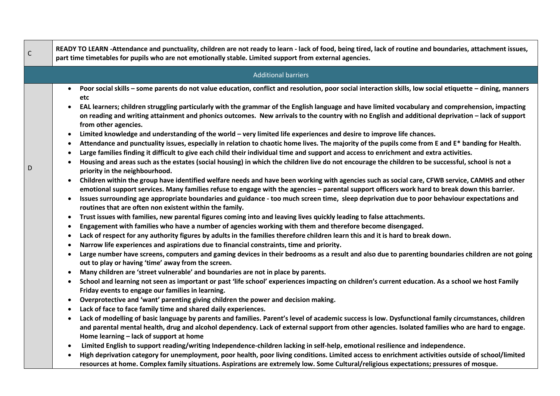|   | <b>Additional barriers</b>                                                                                                                                                                                                                                                                                                                                                                                                                                                                                                                                                                                                                                                                                                                                                                                                                                                                                                                                                                                                                                                                                                                                                                                                                                                                                                                                                                                                                                                                                                                                                                                                                                                                                                                                                                                                                                                                                                                                                                                                                                                                                                                                                                                                                                                                                                                                                                                                                                                                                                                                                                                                                                                                                                        |
|---|-----------------------------------------------------------------------------------------------------------------------------------------------------------------------------------------------------------------------------------------------------------------------------------------------------------------------------------------------------------------------------------------------------------------------------------------------------------------------------------------------------------------------------------------------------------------------------------------------------------------------------------------------------------------------------------------------------------------------------------------------------------------------------------------------------------------------------------------------------------------------------------------------------------------------------------------------------------------------------------------------------------------------------------------------------------------------------------------------------------------------------------------------------------------------------------------------------------------------------------------------------------------------------------------------------------------------------------------------------------------------------------------------------------------------------------------------------------------------------------------------------------------------------------------------------------------------------------------------------------------------------------------------------------------------------------------------------------------------------------------------------------------------------------------------------------------------------------------------------------------------------------------------------------------------------------------------------------------------------------------------------------------------------------------------------------------------------------------------------------------------------------------------------------------------------------------------------------------------------------------------------------------------------------------------------------------------------------------------------------------------------------------------------------------------------------------------------------------------------------------------------------------------------------------------------------------------------------------------------------------------------------------------------------------------------------------------------------------------------------|
| D | Poor social skills - some parents do not value education, conflict and resolution, poor social interaction skills, low social etiquette - dining, manners<br>$\bullet$<br>etc<br>EAL learners; children struggling particularly with the grammar of the English language and have limited vocabulary and comprehension, impacting<br>on reading and writing attainment and phonics outcomes. New arrivals to the country with no English and additional deprivation - lack of support<br>from other agencies.<br>Limited knowledge and understanding of the world - very limited life experiences and desire to improve life chances.<br>$\bullet$<br>Attendance and punctuality issues, especially in relation to chaotic home lives. The majority of the pupils come from E and E* banding for Health.<br>Large families finding it difficult to give each child their individual time and support and access to enrichment and extra activities.<br>Housing and areas such as the estates (social housing) in which the children live do not encourage the children to be successful, school is not a<br>priority in the neighbourhood.<br>Children within the group have identified welfare needs and have been working with agencies such as social care, CFWB service, CAMHS and other<br>$\bullet$<br>emotional support services. Many families refuse to engage with the agencies - parental support officers work hard to break down this barrier.<br>Issues surrounding age appropriate boundaries and guidance - too much screen time, sleep deprivation due to poor behaviour expectations and<br>$\bullet$<br>routines that are often non existent within the family.<br>Trust issues with families, new parental figures coming into and leaving lives quickly leading to false attachments.<br>$\bullet$<br>Engagement with families who have a number of agencies working with them and therefore become disengaged.<br>$\bullet$<br>Lack of respect for any authority figures by adults in the families therefore children learn this and it is hard to break down.<br>$\bullet$<br>Narrow life experiences and aspirations due to financial constraints, time and priority.<br>$\bullet$<br>Large number have screens, computers and gaming devices in their bedrooms as a result and also due to parenting boundaries children are not going<br>out to play or having 'time' away from the screen.<br>Many children are 'street vulnerable' and boundaries are not in place by parents.<br>School and learning not seen as important or past 'life school' experiences impacting on children's current education. As a school we host Family<br>$\bullet$<br>Friday events to engage our families in learning. |
|   | Overprotective and 'want' parenting giving children the power and decision making.                                                                                                                                                                                                                                                                                                                                                                                                                                                                                                                                                                                                                                                                                                                                                                                                                                                                                                                                                                                                                                                                                                                                                                                                                                                                                                                                                                                                                                                                                                                                                                                                                                                                                                                                                                                                                                                                                                                                                                                                                                                                                                                                                                                                                                                                                                                                                                                                                                                                                                                                                                                                                                                |
|   | Lack of face to face family time and shared daily experiences.<br>$\bullet$                                                                                                                                                                                                                                                                                                                                                                                                                                                                                                                                                                                                                                                                                                                                                                                                                                                                                                                                                                                                                                                                                                                                                                                                                                                                                                                                                                                                                                                                                                                                                                                                                                                                                                                                                                                                                                                                                                                                                                                                                                                                                                                                                                                                                                                                                                                                                                                                                                                                                                                                                                                                                                                       |
|   | Lack of modelling of basic language by parents and families. Parent's level of academic success is low. Dysfunctional family circumstances, children<br>$\bullet$<br>and parental mental health, drug and alcohol dependency. Lack of external support from other agencies. Isolated families who are hard to engage.<br>Home learning - lack of support at home                                                                                                                                                                                                                                                                                                                                                                                                                                                                                                                                                                                                                                                                                                                                                                                                                                                                                                                                                                                                                                                                                                                                                                                                                                                                                                                                                                                                                                                                                                                                                                                                                                                                                                                                                                                                                                                                                                                                                                                                                                                                                                                                                                                                                                                                                                                                                                  |
|   | Limited English to support reading/writing Independence-children lacking in self-help, emotional resilience and independence.<br>$\bullet$                                                                                                                                                                                                                                                                                                                                                                                                                                                                                                                                                                                                                                                                                                                                                                                                                                                                                                                                                                                                                                                                                                                                                                                                                                                                                                                                                                                                                                                                                                                                                                                                                                                                                                                                                                                                                                                                                                                                                                                                                                                                                                                                                                                                                                                                                                                                                                                                                                                                                                                                                                                        |
|   | High deprivation category for unemployment, poor health, poor living conditions. Limited access to enrichment activities outside of school/limited<br>$\bullet$<br>resources at home. Complex family situations. Aspirations are extremely low. Some Cultural/religious expectations; pressures of mosque.                                                                                                                                                                                                                                                                                                                                                                                                                                                                                                                                                                                                                                                                                                                                                                                                                                                                                                                                                                                                                                                                                                                                                                                                                                                                                                                                                                                                                                                                                                                                                                                                                                                                                                                                                                                                                                                                                                                                                                                                                                                                                                                                                                                                                                                                                                                                                                                                                        |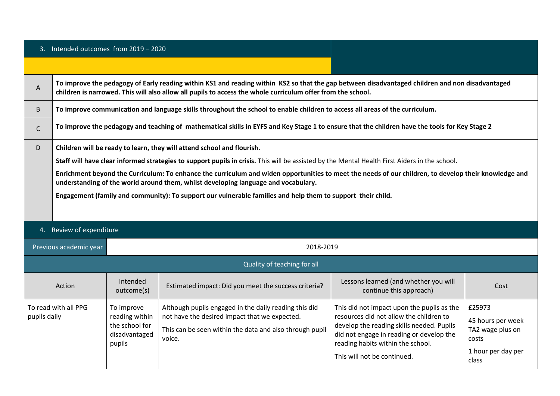| A | To improve the pedagogy of Early reading within KS1 and reading within KS2 so that the gap between disadvantaged children and non disadvantaged<br>children is narrowed. This will also allow all pupils to access the whole curriculum offer from the school. |
|---|----------------------------------------------------------------------------------------------------------------------------------------------------------------------------------------------------------------------------------------------------------------|
| B | To improve communication and language skills throughout the school to enable children to access all areas of the curriculum.                                                                                                                                   |
|   | To improve the pedagogy and teaching of mathematical skills in EYFS and Key Stage 1 to ensure that the children have the tools for Key Stage 2                                                                                                                 |
| D | Children will be ready to learn, they will attend school and flourish.                                                                                                                                                                                         |
|   | Staff will have clear informed strategies to support pupils in crisis. This will be assisted by the Mental Health First Aiders in the school.                                                                                                                  |
|   | Enrichment beyond the Curriculum: To enhance the curriculum and widen opportunities to meet the needs of our children, to develop their knowledge and<br>understanding of the world around them, whilst developing language and vocabulary.                    |
|   | Engagement (family and community): To support our vulnerable families and help them to support their child.                                                                                                                                                    |
|   |                                                                                                                                                                                                                                                                |
|   |                                                                                                                                                                                                                                                                |

### 4. Review of expenditure

| Previous academic year               | 2018-2019                                                                 |                                                                                                                                                                             |                                                                                                                                                                                                                                                    |                                                                                         |
|--------------------------------------|---------------------------------------------------------------------------|-----------------------------------------------------------------------------------------------------------------------------------------------------------------------------|----------------------------------------------------------------------------------------------------------------------------------------------------------------------------------------------------------------------------------------------------|-----------------------------------------------------------------------------------------|
| Quality of teaching for all          |                                                                           |                                                                                                                                                                             |                                                                                                                                                                                                                                                    |                                                                                         |
| Action                               | Intended<br>outcome(s)                                                    | Estimated impact: Did you meet the success criteria?                                                                                                                        | Lessons learned (and whether you will<br>continue this approach)                                                                                                                                                                                   | Cost                                                                                    |
| To read with all PPG<br>pupils daily | To improve<br>reading within<br>the school for<br>disadvantaged<br>pupils | Although pupils engaged in the daily reading this did<br>not have the desired impact that we expected.<br>This can be seen within the data and also through pupil<br>voice. | This did not impact upon the pupils as the<br>resources did not allow the children to<br>develop the reading skills needed. Pupils<br>did not engage in reading or develop the<br>reading habits within the school.<br>This will not be continued. | £25973<br>45 hours per week<br>TA2 wage plus on<br>costs<br>1 hour per day per<br>class |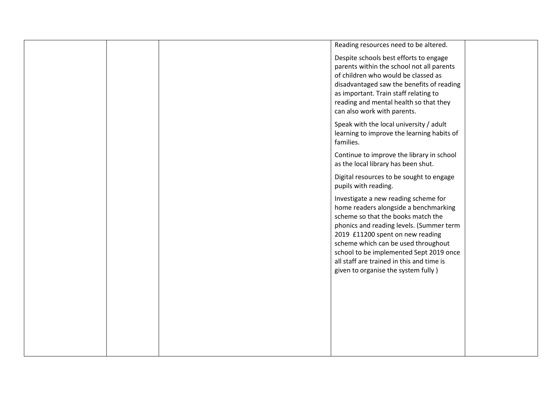|  | Reading resources need to be altered.                                           |  |
|--|---------------------------------------------------------------------------------|--|
|  | Despite schools best efforts to engage                                          |  |
|  | parents within the school not all parents                                       |  |
|  | of children who would be classed as                                             |  |
|  | disadvantaged saw the benefits of reading                                       |  |
|  | as important. Train staff relating to<br>reading and mental health so that they |  |
|  | can also work with parents.                                                     |  |
|  | Speak with the local university / adult                                         |  |
|  | learning to improve the learning habits of                                      |  |
|  | families.                                                                       |  |
|  | Continue to improve the library in school                                       |  |
|  | as the local library has been shut.                                             |  |
|  | Digital resources to be sought to engage                                        |  |
|  | pupils with reading.                                                            |  |
|  | Investigate a new reading scheme for                                            |  |
|  | home readers alongside a benchmarking                                           |  |
|  | scheme so that the books match the                                              |  |
|  | phonics and reading levels. (Summer term                                        |  |
|  | 2019 £11200 spent on new reading<br>scheme which can be used throughout         |  |
|  | school to be implemented Sept 2019 once                                         |  |
|  | all staff are trained in this and time is                                       |  |
|  | given to organise the system fully)                                             |  |
|  |                                                                                 |  |
|  |                                                                                 |  |
|  |                                                                                 |  |
|  |                                                                                 |  |
|  |                                                                                 |  |
|  |                                                                                 |  |
|  |                                                                                 |  |
|  |                                                                                 |  |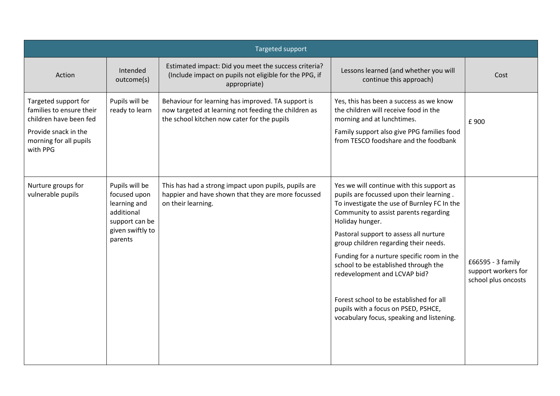|                                                                                                                                          | Targeted support                                                                                              |                                                                                                                                                           |                                                                                                                                                                                                                                                                                                                                                                                                                                                                                                                                                                                                             |      |  |
|------------------------------------------------------------------------------------------------------------------------------------------|---------------------------------------------------------------------------------------------------------------|-----------------------------------------------------------------------------------------------------------------------------------------------------------|-------------------------------------------------------------------------------------------------------------------------------------------------------------------------------------------------------------------------------------------------------------------------------------------------------------------------------------------------------------------------------------------------------------------------------------------------------------------------------------------------------------------------------------------------------------------------------------------------------------|------|--|
| Action                                                                                                                                   | Intended<br>outcome(s)                                                                                        | Estimated impact: Did you meet the success criteria?<br>(Include impact on pupils not eligible for the PPG, if<br>appropriate)                            | Lessons learned (and whether you will<br>continue this approach)                                                                                                                                                                                                                                                                                                                                                                                                                                                                                                                                            | Cost |  |
| Targeted support for<br>families to ensure their<br>children have been fed<br>Provide snack in the<br>morning for all pupils<br>with PPG | Pupils will be<br>ready to learn                                                                              | Behaviour for learning has improved. TA support is<br>now targeted at learning not feeding the children as<br>the school kitchen now cater for the pupils | Yes, this has been a success as we know<br>the children will receive food in the<br>morning and at lunchtimes.<br>Family support also give PPG families food<br>from TESCO foodshare and the foodbank                                                                                                                                                                                                                                                                                                                                                                                                       | £900 |  |
| Nurture groups for<br>vulnerable pupils                                                                                                  | Pupils will be<br>focused upon<br>learning and<br>additional<br>support can be<br>given swiftly to<br>parents | This has had a strong impact upon pupils, pupils are<br>happier and have shown that they are more focussed<br>on their learning.                          | Yes we will continue with this support as<br>pupils are focussed upon their learning.<br>To investigate the use of Burnley FC In the<br>Community to assist parents regarding<br>Holiday hunger.<br>Pastoral support to assess all nurture<br>group children regarding their needs.<br>Funding for a nurture specific room in the<br>£66595 - 3 family<br>school to be established through the<br>support workers for<br>redevelopment and LCVAP bid?<br>school plus oncosts<br>Forest school to be established for all<br>pupils with a focus on PSED, PSHCE,<br>vocabulary focus, speaking and listening. |      |  |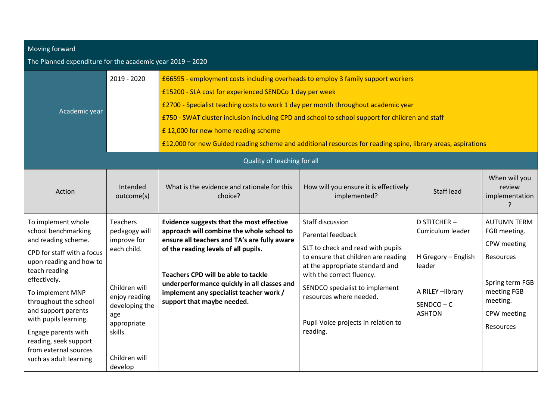| Moving forward |
|----------------|
|                |

### The Planned expenditure for the academic year 2019 – 2020

| Academic year                                                                                                                                                                                                                                                                                                                                              | 2019 - 2020                                                                                                                                                                     | £66595 - employment costs including overheads to employ 3 family support workers<br>£15200 - SLA cost for experienced SENDCo 1 day per week<br>£2700 - Specialist teaching costs to work 1 day per month throughout academic year<br>£750 - SWAT cluster inclusion including CPD and school to school support for children and staff<br>£12,000 for new home reading scheme<br>£12,000 for new Guided reading scheme and additional resources for reading spine, library areas, aspirations |                                                                                                                                                                                                                                                                                                          |                                                                                                                              |                                                                                                                                          |
|------------------------------------------------------------------------------------------------------------------------------------------------------------------------------------------------------------------------------------------------------------------------------------------------------------------------------------------------------------|---------------------------------------------------------------------------------------------------------------------------------------------------------------------------------|---------------------------------------------------------------------------------------------------------------------------------------------------------------------------------------------------------------------------------------------------------------------------------------------------------------------------------------------------------------------------------------------------------------------------------------------------------------------------------------------|----------------------------------------------------------------------------------------------------------------------------------------------------------------------------------------------------------------------------------------------------------------------------------------------------------|------------------------------------------------------------------------------------------------------------------------------|------------------------------------------------------------------------------------------------------------------------------------------|
|                                                                                                                                                                                                                                                                                                                                                            |                                                                                                                                                                                 | Quality of teaching for all                                                                                                                                                                                                                                                                                                                                                                                                                                                                 |                                                                                                                                                                                                                                                                                                          |                                                                                                                              |                                                                                                                                          |
| Action                                                                                                                                                                                                                                                                                                                                                     | Intended<br>outcome(s)                                                                                                                                                          | What is the evidence and rationale for this<br>choice?                                                                                                                                                                                                                                                                                                                                                                                                                                      | How will you ensure it is effectively<br>implemented?                                                                                                                                                                                                                                                    | <b>Staff lead</b>                                                                                                            | When will you<br>review<br>implementation                                                                                                |
| To implement whole<br>school benchmarking<br>and reading scheme.<br>CPD for staff with a focus<br>upon reading and how to<br>teach reading<br>effectively.<br>To implement MNP<br>throughout the school<br>and support parents<br>with pupils learning.<br>Engage parents with<br>reading, seek support<br>from external sources<br>such as adult learning | <b>Teachers</b><br>pedagogy will<br>improve for<br>each child.<br>Children will<br>enjoy reading<br>developing the<br>age<br>appropriate<br>skills.<br>Children will<br>develop | Evidence suggests that the most effective<br>approach will combine the whole school to<br>ensure all teachers and TA's are fully aware<br>of the reading levels of all pupils.<br>Teachers CPD will be able to tackle<br>underperformance quickly in all classes and<br>implement any specialist teacher work /<br>support that maybe needed.                                                                                                                                               | <b>Staff discussion</b><br>Parental feedback<br>SLT to check and read with pupils<br>to ensure that children are reading<br>at the appropriate standard and<br>with the correct fluency.<br>SENDCO specialist to implement<br>resources where needed.<br>Pupil Voice projects in relation to<br>reading. | <b>D STITCHER-</b><br>Curriculum leader<br>H Gregory - English<br>leader<br>A RILEY-library<br>$SENDCO - C$<br><b>ASHTON</b> | <b>AUTUMN TERM</b><br>FGB meeting.<br>CPW meeting<br>Resources<br>Spring term FGB<br>meeting FGB<br>meeting.<br>CPW meeting<br>Resources |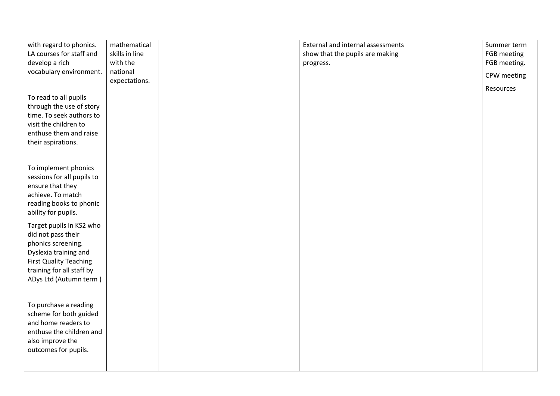| with regard to phonics.       | mathematical   | External and internal assessments | Summer term  |
|-------------------------------|----------------|-----------------------------------|--------------|
| LA courses for staff and      | skills in line | show that the pupils are making   | FGB meeting  |
| develop a rich                | with the       | progress.                         | FGB meeting. |
| vocabulary environment.       | national       |                                   |              |
|                               | expectations.  |                                   | CPW meeting  |
|                               |                |                                   | Resources    |
| To read to all pupils         |                |                                   |              |
| through the use of story      |                |                                   |              |
| time. To seek authors to      |                |                                   |              |
| visit the children to         |                |                                   |              |
| enthuse them and raise        |                |                                   |              |
| their aspirations.            |                |                                   |              |
|                               |                |                                   |              |
|                               |                |                                   |              |
| To implement phonics          |                |                                   |              |
| sessions for all pupils to    |                |                                   |              |
| ensure that they              |                |                                   |              |
| achieve. To match             |                |                                   |              |
| reading books to phonic       |                |                                   |              |
| ability for pupils.           |                |                                   |              |
| Target pupils in KS2 who      |                |                                   |              |
| did not pass their            |                |                                   |              |
|                               |                |                                   |              |
| phonics screening.            |                |                                   |              |
| Dyslexia training and         |                |                                   |              |
| <b>First Quality Teaching</b> |                |                                   |              |
| training for all staff by     |                |                                   |              |
| ADys Ltd (Autumn term)        |                |                                   |              |
|                               |                |                                   |              |
| To purchase a reading         |                |                                   |              |
| scheme for both guided        |                |                                   |              |
| and home readers to           |                |                                   |              |
| enthuse the children and      |                |                                   |              |
| also improve the              |                |                                   |              |
|                               |                |                                   |              |
| outcomes for pupils.          |                |                                   |              |
|                               |                |                                   |              |
|                               |                |                                   |              |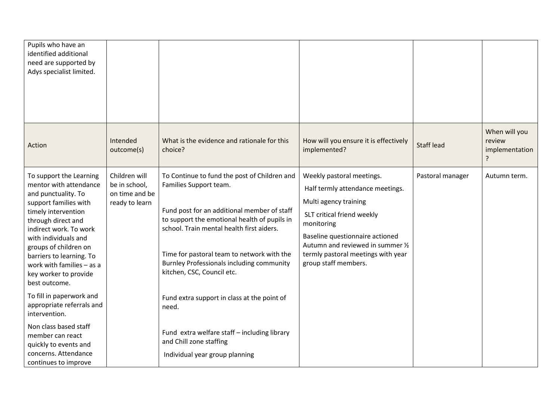| Pupils who have an<br>identified additional<br>need are supported by<br>Adys specialist limited.                                                                                                                                                                                                                                                           |                                                                    |                                                                                                                                                                                                                                                                                                                                                    |                                                                                                                                                                                                                                                                          |                   |                                                |
|------------------------------------------------------------------------------------------------------------------------------------------------------------------------------------------------------------------------------------------------------------------------------------------------------------------------------------------------------------|--------------------------------------------------------------------|----------------------------------------------------------------------------------------------------------------------------------------------------------------------------------------------------------------------------------------------------------------------------------------------------------------------------------------------------|--------------------------------------------------------------------------------------------------------------------------------------------------------------------------------------------------------------------------------------------------------------------------|-------------------|------------------------------------------------|
| Action                                                                                                                                                                                                                                                                                                                                                     | Intended<br>outcome(s)                                             | What is the evidence and rationale for this<br>choice?                                                                                                                                                                                                                                                                                             | How will you ensure it is effectively<br>implemented?                                                                                                                                                                                                                    | <b>Staff lead</b> | When will you<br>review<br>implementation<br>7 |
| To support the Learning<br>mentor with attendance<br>and punctuality. To<br>support families with<br>timely intervention<br>through direct and<br>indirect work. To work<br>with individuals and<br>groups of children on<br>barriers to learning. To<br>work with families $-$ as a<br>key worker to provide<br>best outcome.<br>To fill in paperwork and | Children will<br>be in school,<br>on time and be<br>ready to learn | To Continue to fund the post of Children and<br>Families Support team.<br>Fund post for an additional member of staff<br>to support the emotional health of pupils in<br>school. Train mental health first aiders.<br>Time for pastoral team to network with the<br><b>Burnley Professionals including community</b><br>kitchen, CSC, Council etc. | Weekly pastoral meetings.<br>Half termly attendance meetings.<br>Multi agency training<br>SLT critical friend weekly<br>monitoring<br>Baseline questionnaire actioned<br>Autumn and reviewed in summer 1/2<br>termly pastoral meetings with year<br>group staff members. | Pastoral manager  | Autumn term.                                   |
| appropriate referrals and<br>intervention.<br>Non class based staff<br>member can react<br>quickly to events and<br>concerns. Attendance                                                                                                                                                                                                                   |                                                                    | Fund extra support in class at the point of<br>need.<br>Fund extra welfare staff - including library<br>and Chill zone staffing<br>Individual year group planning                                                                                                                                                                                  |                                                                                                                                                                                                                                                                          |                   |                                                |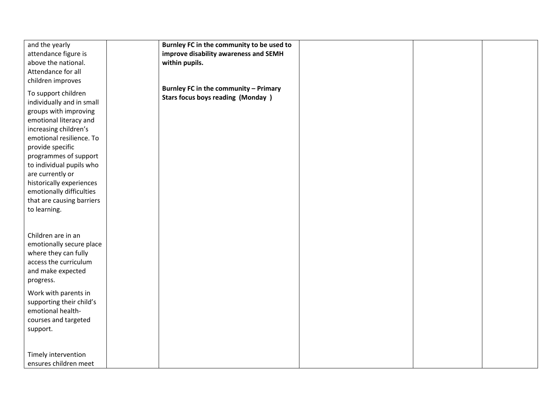| and the yearly            | Burnley FC in the community to be used to |  |
|---------------------------|-------------------------------------------|--|
| attendance figure is      | improve disability awareness and SEMH     |  |
| above the national.       | within pupils.                            |  |
| Attendance for all        |                                           |  |
| children improves         |                                           |  |
|                           | Burnley FC in the community - Primary     |  |
| To support children       | <b>Stars focus boys reading (Monday)</b>  |  |
| individually and in small |                                           |  |
| groups with improving     |                                           |  |
| emotional literacy and    |                                           |  |
| increasing children's     |                                           |  |
| emotional resilience. To  |                                           |  |
| provide specific          |                                           |  |
| programmes of support     |                                           |  |
| to individual pupils who  |                                           |  |
| are currently or          |                                           |  |
| historically experiences  |                                           |  |
| emotionally difficulties  |                                           |  |
| that are causing barriers |                                           |  |
| to learning.              |                                           |  |
|                           |                                           |  |
|                           |                                           |  |
| Children are in an        |                                           |  |
| emotionally secure place  |                                           |  |
| where they can fully      |                                           |  |
| access the curriculum     |                                           |  |
| and make expected         |                                           |  |
| progress.                 |                                           |  |
| Work with parents in      |                                           |  |
| supporting their child's  |                                           |  |
| emotional health-         |                                           |  |
| courses and targeted      |                                           |  |
| support.                  |                                           |  |
|                           |                                           |  |
|                           |                                           |  |
| Timely intervention       |                                           |  |
| ensures children meet     |                                           |  |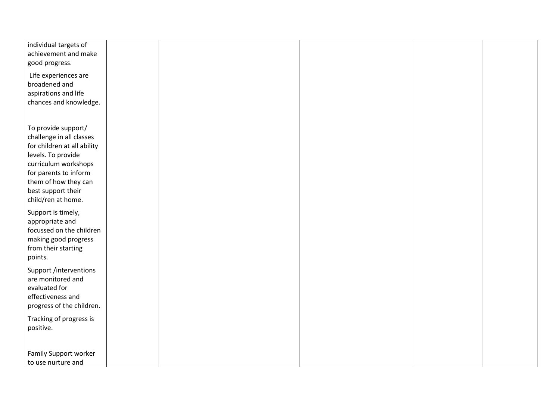| individual targets of       |  |  |  |
|-----------------------------|--|--|--|
| achievement and make        |  |  |  |
| good progress.              |  |  |  |
|                             |  |  |  |
| Life experiences are        |  |  |  |
| broadened and               |  |  |  |
| aspirations and life        |  |  |  |
|                             |  |  |  |
| chances and knowledge.      |  |  |  |
|                             |  |  |  |
|                             |  |  |  |
| To provide support/         |  |  |  |
| challenge in all classes    |  |  |  |
| for children at all ability |  |  |  |
| levels. To provide          |  |  |  |
| curriculum workshops        |  |  |  |
|                             |  |  |  |
| for parents to inform       |  |  |  |
| them of how they can        |  |  |  |
| best support their          |  |  |  |
| child/ren at home.          |  |  |  |
|                             |  |  |  |
| Support is timely,          |  |  |  |
| appropriate and             |  |  |  |
| focussed on the children    |  |  |  |
| making good progress        |  |  |  |
| from their starting         |  |  |  |
| points.                     |  |  |  |
|                             |  |  |  |
| Support /interventions      |  |  |  |
| are monitored and           |  |  |  |
| evaluated for               |  |  |  |
| effectiveness and           |  |  |  |
| progress of the children.   |  |  |  |
|                             |  |  |  |
| Tracking of progress is     |  |  |  |
| positive.                   |  |  |  |
|                             |  |  |  |
|                             |  |  |  |
| Family Support worker       |  |  |  |
| to use nurture and          |  |  |  |
|                             |  |  |  |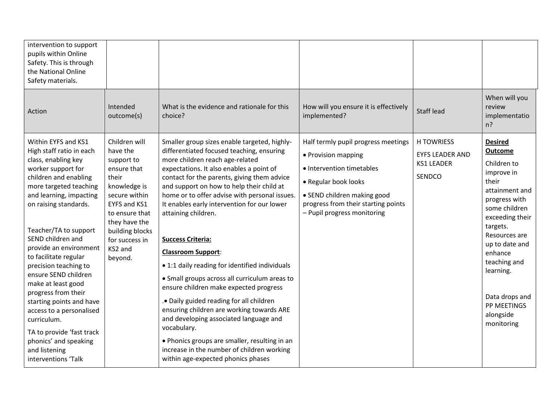| intervention to support<br>pupils within Online<br>Safety. This is through<br>the National Online<br>Safety materials.                                                                                                                                                                                                                                                                                                                                                                                                                                                  |                                                                                                                                                                                                                |                                                                                                                                                                                                                                                                                                                                                                                                                                                                                                                                                                                                                                                                                                                                                                                                                                                                                         |                                                                                                                                                                                                                      |                                                                            |                                                                                                                                                                                                                                                                                           |
|-------------------------------------------------------------------------------------------------------------------------------------------------------------------------------------------------------------------------------------------------------------------------------------------------------------------------------------------------------------------------------------------------------------------------------------------------------------------------------------------------------------------------------------------------------------------------|----------------------------------------------------------------------------------------------------------------------------------------------------------------------------------------------------------------|-----------------------------------------------------------------------------------------------------------------------------------------------------------------------------------------------------------------------------------------------------------------------------------------------------------------------------------------------------------------------------------------------------------------------------------------------------------------------------------------------------------------------------------------------------------------------------------------------------------------------------------------------------------------------------------------------------------------------------------------------------------------------------------------------------------------------------------------------------------------------------------------|----------------------------------------------------------------------------------------------------------------------------------------------------------------------------------------------------------------------|----------------------------------------------------------------------------|-------------------------------------------------------------------------------------------------------------------------------------------------------------------------------------------------------------------------------------------------------------------------------------------|
| Action                                                                                                                                                                                                                                                                                                                                                                                                                                                                                                                                                                  | Intended<br>outcome(s)                                                                                                                                                                                         | What is the evidence and rationale for this<br>choice?                                                                                                                                                                                                                                                                                                                                                                                                                                                                                                                                                                                                                                                                                                                                                                                                                                  | How will you ensure it is effectively<br>implemented?                                                                                                                                                                | <b>Staff lead</b>                                                          | When will you<br>review<br>implementatio<br>n?                                                                                                                                                                                                                                            |
| Within EYFS and KS1<br>High staff ratio in each<br>class, enabling key<br>worker support for<br>children and enabling<br>more targeted teaching<br>and learning, impacting<br>on raising standards.<br>Teacher/TA to support<br>SEND children and<br>provide an environment<br>to facilitate regular<br>precision teaching to<br>ensure SEND children<br>make at least good<br>progress from their<br>starting points and have<br>access to a personalised<br>curriculum.<br>TA to provide 'fast track<br>phonics' and speaking<br>and listening<br>interventions 'Talk | Children will<br>have the<br>support to<br>ensure that<br>their<br>knowledge is<br>secure within<br>EYFS and KS1<br>to ensure that<br>they have the<br>building blocks<br>for success in<br>KS2 and<br>beyond. | Smaller group sizes enable targeted, highly-<br>differentiated focused teaching, ensuring<br>more children reach age-related<br>expectations. It also enables a point of<br>contact for the parents, giving them advice<br>and support on how to help their child at<br>home or to offer advise with personal issues.<br>It enables early intervention for our lower<br>attaining children.<br><b>Success Criteria:</b><br><b>Classroom Support:</b><br>• 1:1 daily reading for identified individuals<br>• Small groups across all curriculum areas to<br>ensure children make expected progress<br>. Daily guided reading for all children<br>ensuring children are working towards ARE<br>and developing associated language and<br>vocabulary.<br>• Phonics groups are smaller, resulting in an<br>increase in the number of children working<br>within age-expected phonics phases | Half termly pupil progress meetings<br>• Provision mapping<br>· Intervention timetables<br>• Regular book looks<br>• SEND children making good<br>progress from their starting points<br>- Pupil progress monitoring | <b>H TOWRIESS</b><br><b>EYFS LEADER AND</b><br><b>KS1 LEADER</b><br>SENDCO | <b>Desired</b><br>Outcome<br>Children to<br>improve in<br>their<br>attainment and<br>progress with<br>some children<br>exceeding their<br>targets.<br>Resources are<br>up to date and<br>enhance<br>teaching and<br>learning.<br>Data drops and<br>PP MEETINGS<br>alongside<br>monitoring |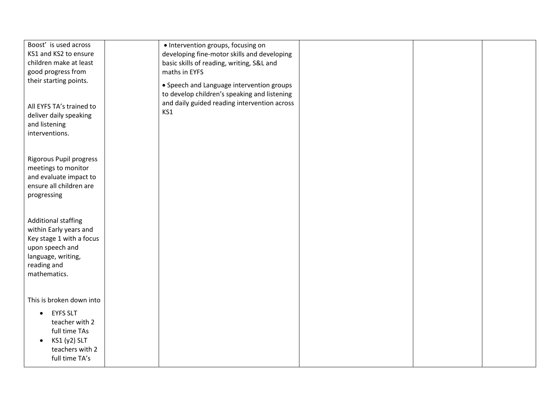| Boost' is used across          | · Intervention groups, focusing on           |  |  |
|--------------------------------|----------------------------------------------|--|--|
| KS1 and KS2 to ensure          | developing fine-motor skills and developing  |  |  |
| children make at least         | basic skills of reading, writing, S&L and    |  |  |
| good progress from             | maths in EYFS                                |  |  |
| their starting points.         | • Speech and Language intervention groups    |  |  |
|                                | to develop children's speaking and listening |  |  |
|                                | and daily guided reading intervention across |  |  |
| All EYFS TA's trained to       | KS1                                          |  |  |
| deliver daily speaking         |                                              |  |  |
| and listening                  |                                              |  |  |
| interventions.                 |                                              |  |  |
|                                |                                              |  |  |
| <b>Rigorous Pupil progress</b> |                                              |  |  |
| meetings to monitor            |                                              |  |  |
| and evaluate impact to         |                                              |  |  |
| ensure all children are        |                                              |  |  |
| progressing                    |                                              |  |  |
|                                |                                              |  |  |
|                                |                                              |  |  |
| <b>Additional staffing</b>     |                                              |  |  |
| within Early years and         |                                              |  |  |
| Key stage 1 with a focus       |                                              |  |  |
| upon speech and                |                                              |  |  |
| language, writing,             |                                              |  |  |
| reading and                    |                                              |  |  |
| mathematics.                   |                                              |  |  |
|                                |                                              |  |  |
|                                |                                              |  |  |
| This is broken down into       |                                              |  |  |
| <b>EYFS SLT</b><br>$\bullet$   |                                              |  |  |
| teacher with 2                 |                                              |  |  |
| full time TAs                  |                                              |  |  |
| KS1 (y2) SLT                   |                                              |  |  |
| teachers with 2                |                                              |  |  |
| full time TA's                 |                                              |  |  |
|                                |                                              |  |  |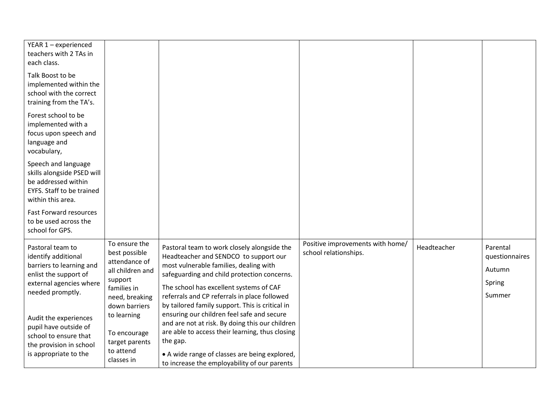| YEAR 1 - experienced          |                  |                                                 |                                  |             |                |
|-------------------------------|------------------|-------------------------------------------------|----------------------------------|-------------|----------------|
| teachers with 2 TAs in        |                  |                                                 |                                  |             |                |
|                               |                  |                                                 |                                  |             |                |
| each class.                   |                  |                                                 |                                  |             |                |
| Talk Boost to be              |                  |                                                 |                                  |             |                |
| implemented within the        |                  |                                                 |                                  |             |                |
| school with the correct       |                  |                                                 |                                  |             |                |
| training from the TA's.       |                  |                                                 |                                  |             |                |
|                               |                  |                                                 |                                  |             |                |
| Forest school to be           |                  |                                                 |                                  |             |                |
| implemented with a            |                  |                                                 |                                  |             |                |
| focus upon speech and         |                  |                                                 |                                  |             |                |
| language and                  |                  |                                                 |                                  |             |                |
| vocabulary,                   |                  |                                                 |                                  |             |                |
| Speech and language           |                  |                                                 |                                  |             |                |
| skills alongside PSED will    |                  |                                                 |                                  |             |                |
| be addressed within           |                  |                                                 |                                  |             |                |
| EYFS. Staff to be trained     |                  |                                                 |                                  |             |                |
| within this area.             |                  |                                                 |                                  |             |                |
|                               |                  |                                                 |                                  |             |                |
| <b>Fast Forward resources</b> |                  |                                                 |                                  |             |                |
| to be used across the         |                  |                                                 |                                  |             |                |
| school for GPS.               |                  |                                                 |                                  |             |                |
|                               | To ensure the    |                                                 | Positive improvements with home/ |             |                |
| Pastoral team to              | best possible    | Pastoral team to work closely alongside the     | school relationships.            | Headteacher | Parental       |
| identify additional           | attendance of    | Headteacher and SENDCO to support our           |                                  |             | questionnaires |
| barriers to learning and      | all children and | most vulnerable families, dealing with          |                                  |             | Autumn         |
| enlist the support of         | support          | safeguarding and child protection concerns.     |                                  |             |                |
| external agencies where       | families in      | The school has excellent systems of CAF         |                                  |             | Spring         |
| needed promptly.              | need, breaking   | referrals and CP referrals in place followed    |                                  |             | Summer         |
|                               | down barriers    | by tailored family support. This is critical in |                                  |             |                |
|                               | to learning      | ensuring our children feel safe and secure      |                                  |             |                |
| Audit the experiences         |                  | and are not at risk. By doing this our children |                                  |             |                |
| pupil have outside of         | To encourage     | are able to access their learning, thus closing |                                  |             |                |
| school to ensure that         | target parents   | the gap.                                        |                                  |             |                |
| the provision in school       | to attend        |                                                 |                                  |             |                |
| is appropriate to the         | classes in       | • A wide range of classes are being explored,   |                                  |             |                |
|                               |                  | to increase the employability of our parents    |                                  |             |                |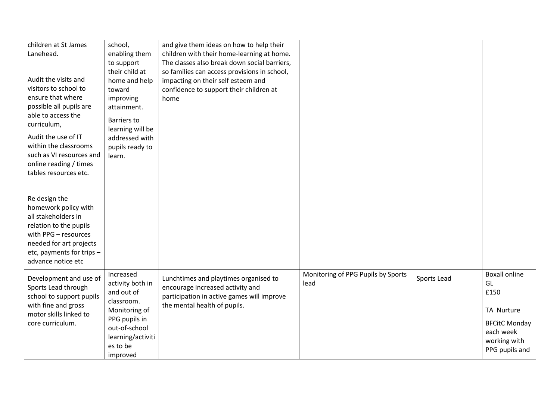| children at St James                            | school,            | and give them ideas on how to help their     |                                    |             |                      |
|-------------------------------------------------|--------------------|----------------------------------------------|------------------------------------|-------------|----------------------|
| Lanehead.                                       | enabling them      | children with their home-learning at home.   |                                    |             |                      |
|                                                 | to support         | The classes also break down social barriers, |                                    |             |                      |
|                                                 | their child at     | so families can access provisions in school, |                                    |             |                      |
| Audit the visits and                            | home and help      | impacting on their self esteem and           |                                    |             |                      |
| visitors to school to                           | toward             | confidence to support their children at      |                                    |             |                      |
| ensure that where                               | improving          | home                                         |                                    |             |                      |
| possible all pupils are                         | attainment.        |                                              |                                    |             |                      |
| able to access the                              |                    |                                              |                                    |             |                      |
| curriculum,                                     | <b>Barriers to</b> |                                              |                                    |             |                      |
| Audit the use of IT                             | learning will be   |                                              |                                    |             |                      |
| within the classrooms                           | addressed with     |                                              |                                    |             |                      |
| such as VI resources and                        | pupils ready to    |                                              |                                    |             |                      |
|                                                 | learn.             |                                              |                                    |             |                      |
| online reading / times<br>tables resources etc. |                    |                                              |                                    |             |                      |
|                                                 |                    |                                              |                                    |             |                      |
|                                                 |                    |                                              |                                    |             |                      |
| Re design the                                   |                    |                                              |                                    |             |                      |
| homework policy with                            |                    |                                              |                                    |             |                      |
| all stakeholders in                             |                    |                                              |                                    |             |                      |
| relation to the pupils                          |                    |                                              |                                    |             |                      |
| with PPG - resources                            |                    |                                              |                                    |             |                      |
|                                                 |                    |                                              |                                    |             |                      |
| needed for art projects                         |                    |                                              |                                    |             |                      |
| etc, payments for trips -<br>advance notice etc |                    |                                              |                                    |             |                      |
|                                                 |                    |                                              |                                    |             |                      |
| Development and use of                          | Increased          | Lunchtimes and playtimes organised to        | Monitoring of PPG Pupils by Sports | Sports Lead | <b>Boxall online</b> |
| Sports Lead through                             | activity both in   | encourage increased activity and             | lead                               |             | GL                   |
| school to support pupils                        | and out of         | participation in active games will improve   |                                    |             | £150                 |
| with fine and gross                             | classroom.         | the mental health of pupils.                 |                                    |             |                      |
| motor skills linked to                          | Monitoring of      |                                              |                                    |             | TA Nurture           |
| core curriculum.                                | PPG pupils in      |                                              |                                    |             | <b>BFCitC Monday</b> |
|                                                 | out-of-school      |                                              |                                    |             | each week            |
|                                                 | learning/activiti  |                                              |                                    |             | working with         |
|                                                 | es to be           |                                              |                                    |             | PPG pupils and       |
|                                                 | improved           |                                              |                                    |             |                      |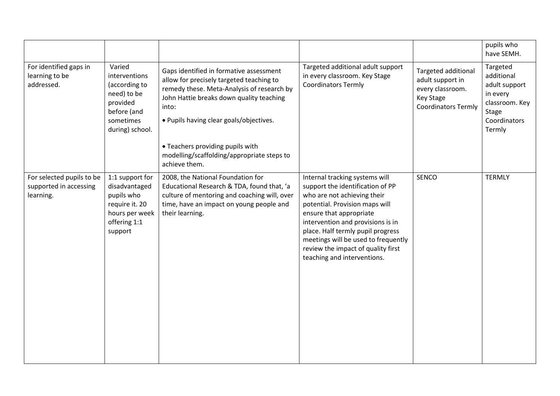|                                                                  |                                                                                                                    |                                                                                                                                                                                                                                                                                                                                      |                                                                                                                                                                                                                                                                                                                                                      |                                                                                                                      | pupils who<br>have SEMH.                                                                                        |
|------------------------------------------------------------------|--------------------------------------------------------------------------------------------------------------------|--------------------------------------------------------------------------------------------------------------------------------------------------------------------------------------------------------------------------------------------------------------------------------------------------------------------------------------|------------------------------------------------------------------------------------------------------------------------------------------------------------------------------------------------------------------------------------------------------------------------------------------------------------------------------------------------------|----------------------------------------------------------------------------------------------------------------------|-----------------------------------------------------------------------------------------------------------------|
| For identified gaps in<br>learning to be<br>addressed.           | Varied<br>interventions<br>(according to<br>need) to be<br>provided<br>before (and<br>sometimes<br>during) school. | Gaps identified in formative assessment<br>allow for precisely targeted teaching to<br>remedy these. Meta-Analysis of research by<br>John Hattie breaks down quality teaching<br>into:<br>. Pupils having clear goals/objectives.<br>• Teachers providing pupils with<br>modelling/scaffolding/appropriate steps to<br>achieve them. | Targeted additional adult support<br>in every classroom. Key Stage<br><b>Coordinators Termly</b>                                                                                                                                                                                                                                                     | <b>Targeted additional</b><br>adult support in<br>every classroom.<br><b>Key Stage</b><br><b>Coordinators Termly</b> | Targeted<br>additional<br>adult support<br>in every<br>classroom. Key<br><b>Stage</b><br>Coordinators<br>Termly |
| For selected pupils to be<br>supported in accessing<br>learning. | 1:1 support for<br>disadvantaged<br>pupils who<br>require it. 20<br>hours per week<br>offering 1:1<br>support      | 2008, the National Foundation for<br>Educational Research & TDA, found that, 'a<br>culture of mentoring and coaching will, over<br>time, have an impact on young people and<br>their learning.                                                                                                                                       | Internal tracking systems will<br>support the identification of PP<br>who are not achieving their<br>potential. Provision maps will<br>ensure that appropriate<br>intervention and provisions is in<br>place. Half termly pupil progress<br>meetings will be used to frequently<br>review the impact of quality first<br>teaching and interventions. | SENCO                                                                                                                | <b>TERMLY</b>                                                                                                   |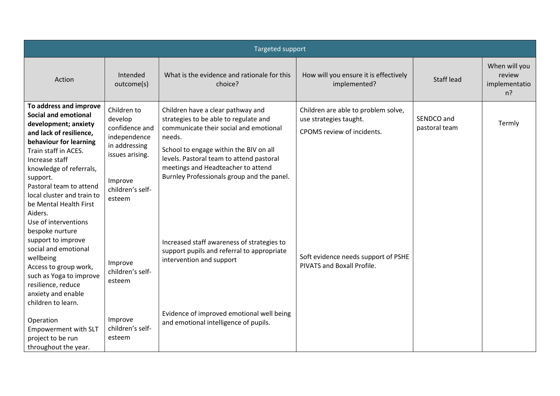|                                                                                                                                                                                                | Targeted support                                                          |                                                                                                                                                                          |                                                                                             |                             |                                                   |  |
|------------------------------------------------------------------------------------------------------------------------------------------------------------------------------------------------|---------------------------------------------------------------------------|--------------------------------------------------------------------------------------------------------------------------------------------------------------------------|---------------------------------------------------------------------------------------------|-----------------------------|---------------------------------------------------|--|
| Action                                                                                                                                                                                         | Intended<br>outcome(s)                                                    | What is the evidence and rationale for this<br>choice?                                                                                                                   | How will you ensure it is effectively<br>implemented?                                       | <b>Staff lead</b>           | When will you<br>review<br>implementatio<br>$n$ ? |  |
| To address and improve<br><b>Social and emotional</b><br>development; anxiety<br>and lack of resilience,<br>behaviour for learning<br>Train staff in ACES.                                     | Children to<br>develop<br>confidence and<br>independence<br>in addressing | Children have a clear pathway and<br>strategies to be able to regulate and<br>communicate their social and emotional<br>needs.<br>School to engage within the BIV on all | Children are able to problem solve,<br>use strategies taught.<br>CPOMS review of incidents. | SENDCO and<br>pastoral team | Termly                                            |  |
| Increase staff<br>knowledge of referrals,<br>support.<br>Pastoral team to attend<br>local cluster and train to<br>be Mental Health First<br>Aiders.<br>Use of interventions<br>bespoke nurture | issues arising.<br>Improve<br>children's self-<br>esteem                  | levels. Pastoral team to attend pastoral<br>meetings and Headteacher to attend<br>Burnley Professionals group and the panel.                                             |                                                                                             |                             |                                                   |  |
| support to improve<br>social and emotional<br>wellbeing<br>Access to group work,<br>such as Yoga to improve<br>resilience, reduce<br>anxiety and enable<br>children to learn.                  | Improve<br>children's self-<br>esteem                                     | Increased staff awareness of strategies to<br>support pupils and referral to appropriate<br>intervention and support                                                     | Soft evidence needs support of PSHE<br>PIVATS and Boxall Profile.                           |                             |                                                   |  |
| Operation<br><b>Empowerment with SLT</b><br>project to be run<br>throughout the year.                                                                                                          | Improve<br>children's self-<br>esteem                                     | Evidence of improved emotional well being<br>and emotional intelligence of pupils.                                                                                       |                                                                                             |                             |                                                   |  |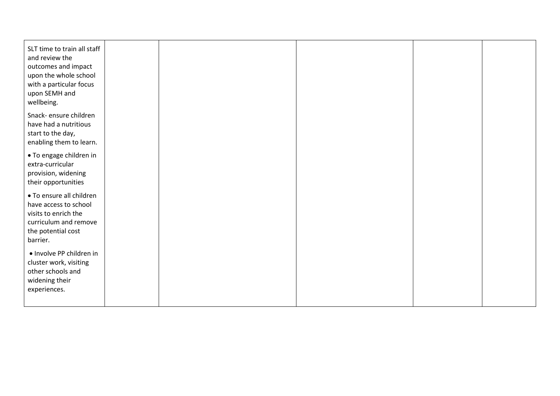| SLT time to train all staff<br>and review the<br>outcomes and impact<br>upon the whole school<br>with a particular focus<br>upon SEMH and<br>wellbeing. |  |  |  |
|---------------------------------------------------------------------------------------------------------------------------------------------------------|--|--|--|
| Snack- ensure children<br>have had a nutritious<br>start to the day,<br>enabling them to learn.                                                         |  |  |  |
| • To engage children in<br>extra-curricular<br>provision, widening<br>their opportunities                                                               |  |  |  |
| • To ensure all children<br>have access to school<br>visits to enrich the<br>curriculum and remove<br>the potential cost<br>barrier.                    |  |  |  |
| · Involve PP children in<br>cluster work, visiting<br>other schools and<br>widening their<br>experiences.                                               |  |  |  |